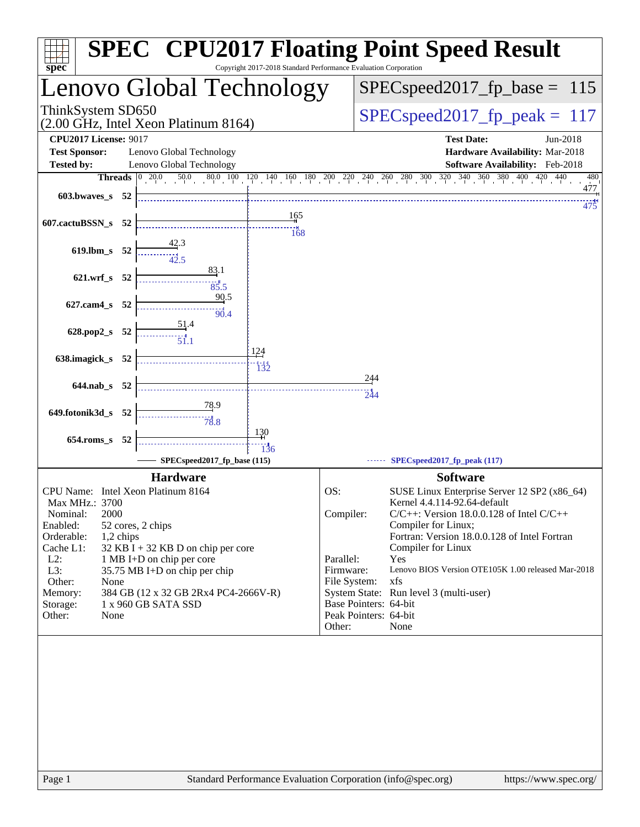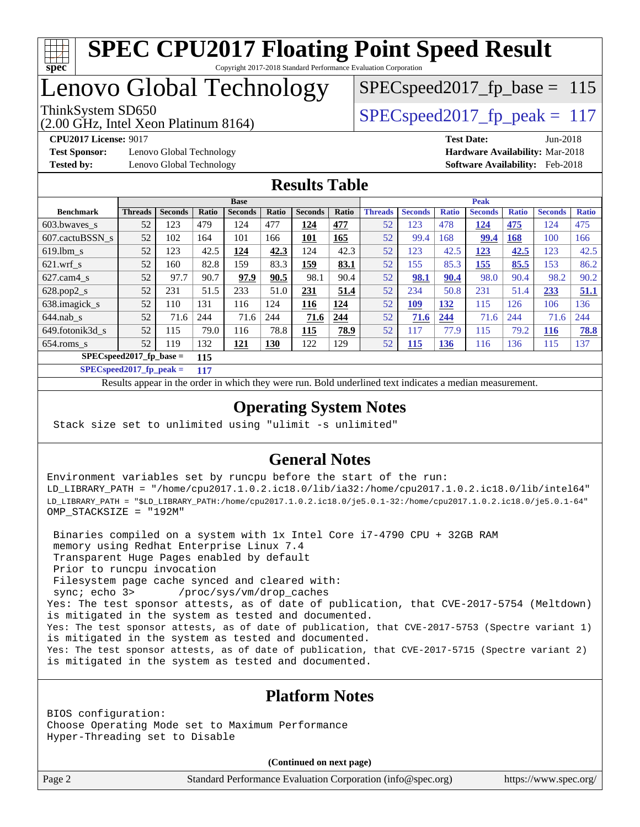

# Lenovo Global Technology

(2.00 GHz, Intel Xeon Platinum 8164)

ThinkSystem SD650  $SPEC speed2017$  fp\_peak = 117 SPECspeed2017 fp base =  $115$ 

**[Test Sponsor:](http://www.spec.org/auto/cpu2017/Docs/result-fields.html#TestSponsor)** Lenovo Global Technology **[Hardware Availability:](http://www.spec.org/auto/cpu2017/Docs/result-fields.html#HardwareAvailability)** Mar-2018 **[Tested by:](http://www.spec.org/auto/cpu2017/Docs/result-fields.html#Testedby)** Lenovo Global Technology **[Software Availability:](http://www.spec.org/auto/cpu2017/Docs/result-fields.html#SoftwareAvailability)** Feb-2018

**[CPU2017 License:](http://www.spec.org/auto/cpu2017/Docs/result-fields.html#CPU2017License)** 9017 **[Test Date:](http://www.spec.org/auto/cpu2017/Docs/result-fields.html#TestDate)** Jun-2018

## **[Results Table](http://www.spec.org/auto/cpu2017/Docs/result-fields.html#ResultsTable)**

|                           |                |                |       | <b>Base</b>    |            |                |            |                |                |              | <b>Peak</b>    |              |                |              |
|---------------------------|----------------|----------------|-------|----------------|------------|----------------|------------|----------------|----------------|--------------|----------------|--------------|----------------|--------------|
| <b>Benchmark</b>          | <b>Threads</b> | <b>Seconds</b> | Ratio | <b>Seconds</b> | Ratio      | <b>Seconds</b> | Ratio      | <b>Threads</b> | <b>Seconds</b> | <b>Ratio</b> | <b>Seconds</b> | <b>Ratio</b> | <b>Seconds</b> | <b>Ratio</b> |
| $603.bwaves$ s            | 52             | 123            | 479   | 124            | 477        | 124            | 477        | 52             | 123            | 478          | 124            | 475          | 124            | 475          |
| 607.cactuBSSN s           | 52             | 102            | 164   | 101            | 166        | 101            | <b>165</b> | 52             | 99.4           | 168          | 99.4           | 168          | 100            | 166          |
| $619.1$ bm s              | 52             | 123            | 42.5  | 124            | 42.3       | 124            | 42.3       | 52             | 123            | 42.5         | 123            | 42.5         | 123            | 42.5         |
| $621$ .wrf s              | 52             | 160            | 82.8  | 159            | 83.3       | <b>159</b>     | 83.1       | 52             | 155            | 85.3         | 155            | 85.5         | 153            | 86.2         |
| $627.cam4_s$              | 52             | 97.7           | 90.7  | 97.9           | 90.5       | 98.1           | 90.4       | 52             | 98.1           | 90.4         | 98.0           | 90.4         | 98.2           | 90.2         |
| $628.pop2_s$              | 52             | 231            | 51.5  | 233            | 51.0       | 231            | 51.4       | 52             | 234            | 50.8         | 231            | 51.4         | 233            | 51.1         |
| 638.imagick_s             | 52             | 110            | 131   | 116            | 124        | 116            | 124        | 52             | <u> 109</u>    | 132          | 115            | 126          | 106            | 136          |
| $644$ .nab s              | 52             | 71.6           | 244   | 71.6           | 244        | 71.6           | 244        | 52             | 71.6           | 244          | 71.6           | 244          | 71.6           | 244          |
| 649.fotonik3d s           | 52             | 115            | 79.0  | 116            | 78.8       | 115            | 78.9       | 52             | 117            | 77.9         | 115            | 79.2         | 116            | 78.8         |
| $654$ .roms s             | 52             | 119            | 132   | 121            | <b>130</b> | 122            | 129        | 52             | 115            | <b>136</b>   | 116            | 136          | 115            | 137          |
| $SPECspeed2017$ fp base = |                |                | 115   |                |            |                |            |                |                |              |                |              |                |              |

**[SPECspeed2017\\_fp\\_peak =](http://www.spec.org/auto/cpu2017/Docs/result-fields.html#SPECspeed2017fppeak) 117**

Results appear in the [order in which they were run.](http://www.spec.org/auto/cpu2017/Docs/result-fields.html#RunOrder) Bold underlined text [indicates a median measurement](http://www.spec.org/auto/cpu2017/Docs/result-fields.html#Median).

## **[Operating System Notes](http://www.spec.org/auto/cpu2017/Docs/result-fields.html#OperatingSystemNotes)**

Stack size set to unlimited using "ulimit -s unlimited"

## **[General Notes](http://www.spec.org/auto/cpu2017/Docs/result-fields.html#GeneralNotes)**

Environment variables set by runcpu before the start of the run: LD\_LIBRARY\_PATH = "/home/cpu2017.1.0.2.ic18.0/lib/ia32:/home/cpu2017.1.0.2.ic18.0/lib/intel64" LD\_LIBRARY\_PATH = "\$LD\_LIBRARY\_PATH:/home/cpu2017.1.0.2.ic18.0/je5.0.1-32:/home/cpu2017.1.0.2.ic18.0/je5.0.1-64" OMP\_STACKSIZE = "192M"

 Binaries compiled on a system with 1x Intel Core i7-4790 CPU + 32GB RAM memory using Redhat Enterprise Linux 7.4 Transparent Huge Pages enabled by default Prior to runcpu invocation Filesystem page cache synced and cleared with: sync; echo 3> /proc/sys/vm/drop\_caches Yes: The test sponsor attests, as of date of publication, that CVE-2017-5754 (Meltdown) is mitigated in the system as tested and documented. Yes: The test sponsor attests, as of date of publication, that CVE-2017-5753 (Spectre variant 1) is mitigated in the system as tested and documented. Yes: The test sponsor attests, as of date of publication, that CVE-2017-5715 (Spectre variant 2) is mitigated in the system as tested and documented.

## **[Platform Notes](http://www.spec.org/auto/cpu2017/Docs/result-fields.html#PlatformNotes)**

BIOS configuration: Choose Operating Mode set to Maximum Performance Hyper-Threading set to Disable

**(Continued on next page)**

Page 2 Standard Performance Evaluation Corporation [\(info@spec.org\)](mailto:info@spec.org) <https://www.spec.org/>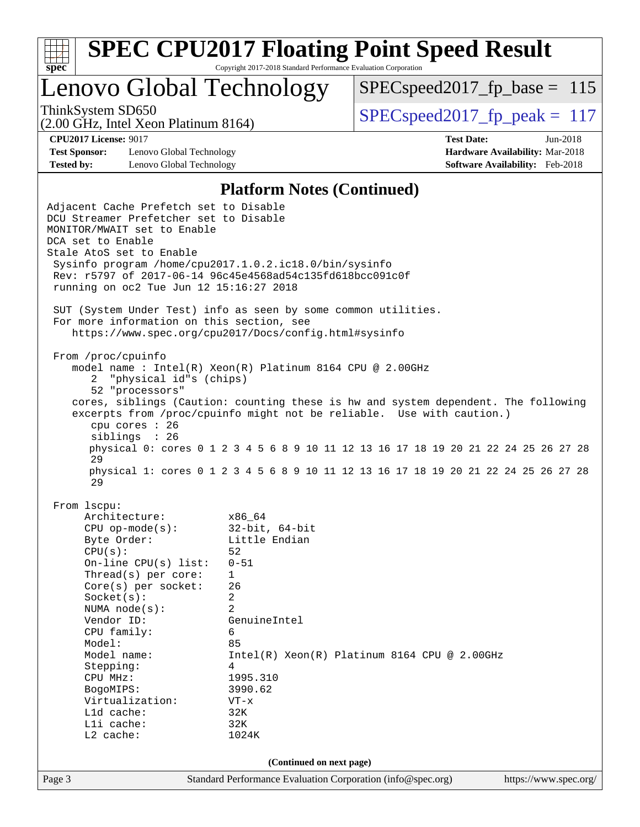

Lenovo Global Technology

 $SPEC speed2017_fp\_base = 115$ 

(2.00 GHz, Intel Xeon Platinum 8164)

ThinkSystem SD650  $SPEC speed2017$  fp\_peak = 117

**[Test Sponsor:](http://www.spec.org/auto/cpu2017/Docs/result-fields.html#TestSponsor)** Lenovo Global Technology **[Hardware Availability:](http://www.spec.org/auto/cpu2017/Docs/result-fields.html#HardwareAvailability)** Mar-2018 **[Tested by:](http://www.spec.org/auto/cpu2017/Docs/result-fields.html#Testedby)** Lenovo Global Technology **[Software Availability:](http://www.spec.org/auto/cpu2017/Docs/result-fields.html#SoftwareAvailability)** Feb-2018

**[CPU2017 License:](http://www.spec.org/auto/cpu2017/Docs/result-fields.html#CPU2017License)** 9017 **[Test Date:](http://www.spec.org/auto/cpu2017/Docs/result-fields.html#TestDate)** Jun-2018

#### **[Platform Notes \(Continued\)](http://www.spec.org/auto/cpu2017/Docs/result-fields.html#PlatformNotes)**

Page 3 Standard Performance Evaluation Corporation [\(info@spec.org\)](mailto:info@spec.org) <https://www.spec.org/> Adjacent Cache Prefetch set to Disable DCU Streamer Prefetcher set to Disable MONITOR/MWAIT set to Enable DCA set to Enable Stale AtoS set to Enable Sysinfo program /home/cpu2017.1.0.2.ic18.0/bin/sysinfo Rev: r5797 of 2017-06-14 96c45e4568ad54c135fd618bcc091c0f running on oc2 Tue Jun 12 15:16:27 2018 SUT (System Under Test) info as seen by some common utilities. For more information on this section, see <https://www.spec.org/cpu2017/Docs/config.html#sysinfo> From /proc/cpuinfo model name : Intel(R) Xeon(R) Platinum 8164 CPU @ 2.00GHz 2 "physical id"s (chips) 52 "processors" cores, siblings (Caution: counting these is hw and system dependent. The following excerpts from /proc/cpuinfo might not be reliable. Use with caution.) cpu cores : 26 siblings : 26 physical 0: cores 0 1 2 3 4 5 6 8 9 10 11 12 13 16 17 18 19 20 21 22 24 25 26 27 28 29 physical 1: cores 0 1 2 3 4 5 6 8 9 10 11 12 13 16 17 18 19 20 21 22 24 25 26 27 28 29 From lscpu: Architecture: x86\_64<br>
CPU op-mode(s): 32-bit, 64-bit CPU op-mode $(s):$ Byte Order: Little Endian  $CPU(s):$  52 On-line CPU(s) list: 0-51 Thread(s) per core: 1 Core(s) per socket: 26 Socket(s): 2 NUMA node(s): 2 Vendor ID: GenuineIntel CPU family: 6 Model: 85 Model name:  $Intel(R)$  Xeon(R) Platinum 8164 CPU @ 2.00GHz Stepping: 4 CPU MHz: 1995.310 BogoMIPS: 3990.62 Virtualization: VT-x L1d cache: 32K L1i cache: 32K L2 cache: 1024K **(Continued on next page)**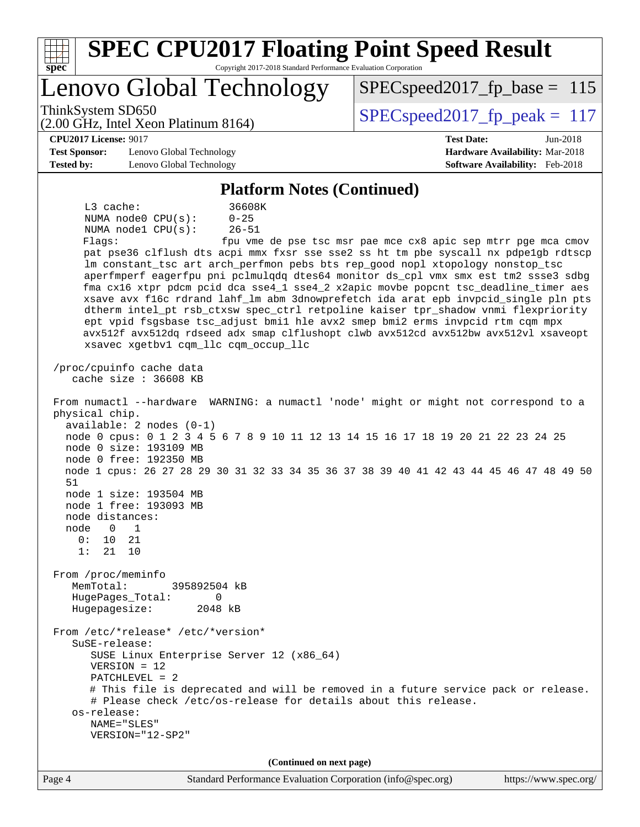| <b>SPEC CPU2017 Floating Point Speed Result</b><br>Copyright 2017-2018 Standard Performance Evaluation Corporation<br>$spec^*$                                                                                                                                                                                                                                                                                                                                                                                                                                                                                                                                                                                                                                                                                                                                                                                                                                                                                                                                                                                                                                                                                                                                                                                            |                                                                                                     |
|---------------------------------------------------------------------------------------------------------------------------------------------------------------------------------------------------------------------------------------------------------------------------------------------------------------------------------------------------------------------------------------------------------------------------------------------------------------------------------------------------------------------------------------------------------------------------------------------------------------------------------------------------------------------------------------------------------------------------------------------------------------------------------------------------------------------------------------------------------------------------------------------------------------------------------------------------------------------------------------------------------------------------------------------------------------------------------------------------------------------------------------------------------------------------------------------------------------------------------------------------------------------------------------------------------------------------|-----------------------------------------------------------------------------------------------------|
| Lenovo Global Technology                                                                                                                                                                                                                                                                                                                                                                                                                                                                                                                                                                                                                                                                                                                                                                                                                                                                                                                                                                                                                                                                                                                                                                                                                                                                                                  | $SPEC speed2017_fp\_base = 115$                                                                     |
| ThinkSystem SD650<br>(2.00 GHz, Intel Xeon Platinum 8164)                                                                                                                                                                                                                                                                                                                                                                                                                                                                                                                                                                                                                                                                                                                                                                                                                                                                                                                                                                                                                                                                                                                                                                                                                                                                 | $SPEC speed2017_fp\_peak = 117$                                                                     |
| <b>CPU2017 License: 9017</b><br><b>Test Sponsor:</b><br>Lenovo Global Technology<br><b>Tested by:</b><br>Lenovo Global Technology                                                                                                                                                                                                                                                                                                                                                                                                                                                                                                                                                                                                                                                                                                                                                                                                                                                                                                                                                                                                                                                                                                                                                                                         | <b>Test Date:</b><br>Jun-2018<br>Hardware Availability: Mar-2018<br>Software Availability: Feb-2018 |
| <b>Platform Notes (Continued)</b>                                                                                                                                                                                                                                                                                                                                                                                                                                                                                                                                                                                                                                                                                                                                                                                                                                                                                                                                                                                                                                                                                                                                                                                                                                                                                         |                                                                                                     |
| $L3$ cache:<br>36608K<br>NUMA node0 CPU(s):<br>$0 - 25$<br>$26 - 51$<br>NUMA nodel CPU(s):<br>Flags:<br>pat pse36 clflush dts acpi mmx fxsr sse sse2 ss ht tm pbe syscall nx pdpelgb rdtscp<br>lm constant_tsc art arch_perfmon pebs bts rep_good nopl xtopology nonstop_tsc<br>aperfmperf eagerfpu pni pclmulqdq dtes64 monitor ds_cpl vmx smx est tm2 ssse3 sdbg<br>fma cx16 xtpr pdcm pcid dca sse4_1 sse4_2 x2apic movbe popcnt tsc_deadline_timer aes<br>xsave avx f16c rdrand lahf_lm abm 3dnowprefetch ida arat epb invpcid_single pln pts<br>dtherm intel_pt rsb_ctxsw spec_ctrl retpoline kaiser tpr_shadow vnmi flexpriority<br>ept vpid fsgsbase tsc_adjust bmil hle avx2 smep bmi2 erms invpcid rtm cqm mpx<br>avx512f avx512dq rdseed adx smap clflushopt clwb avx512cd avx512bw avx512vl xsaveopt<br>xsavec xgetbvl cqm_llc cqm_occup_llc<br>/proc/cpuinfo cache data<br>cache size $: 36608$ KB<br>From numactl --hardware WARNING: a numactl 'node' might or might not correspond to a<br>physical chip.<br>$available: 2 nodes (0-1)$<br>node 0 cpus: 0 1 2 3 4 5 6 7 8 9 10 11 12 13 14 15 16 17 18 19 20 21 22 23 24 25<br>node 0 size: 193109 MB<br>node 0 free: 192350 MB<br>node 1 cpus: 26 27 28 29 30 31 32 33 34 35 36 37 38 39 40 41 42 43 44 45 46 47 48 49 50<br>51<br>node 1 size: 193504 MB | fpu vme de pse tsc msr pae mce cx8 apic sep mtrr pge mca cmov                                       |
| node 1 free: 193093 MB<br>node distances:<br>node<br>$\overline{0}$<br>$\overline{1}$<br>0:<br>10<br>21                                                                                                                                                                                                                                                                                                                                                                                                                                                                                                                                                                                                                                                                                                                                                                                                                                                                                                                                                                                                                                                                                                                                                                                                                   |                                                                                                     |
| 1:<br>21 10                                                                                                                                                                                                                                                                                                                                                                                                                                                                                                                                                                                                                                                                                                                                                                                                                                                                                                                                                                                                                                                                                                                                                                                                                                                                                                               |                                                                                                     |
| From /proc/meminfo<br>MemTotal:<br>395892504 kB<br>HugePages_Total:<br>$\Omega$<br>2048 kB<br>Hugepagesize:                                                                                                                                                                                                                                                                                                                                                                                                                                                                                                                                                                                                                                                                                                                                                                                                                                                                                                                                                                                                                                                                                                                                                                                                               |                                                                                                     |
| From /etc/*release* /etc/*version*<br>$S$ uSE-release:<br>SUSE Linux Enterprise Server 12 (x86_64)<br>$VERSION = 12$<br>$PATCHLEVEL = 2$<br># This file is deprecated and will be removed in a future service pack or release.<br># Please check /etc/os-release for details about this release.<br>os-release:<br>NAME="SLES"<br>VERSION="12-SP2"                                                                                                                                                                                                                                                                                                                                                                                                                                                                                                                                                                                                                                                                                                                                                                                                                                                                                                                                                                        |                                                                                                     |
| (Continued on next page)<br>Page 4<br>Standard Performance Evaluation Corporation (info@spec.org)                                                                                                                                                                                                                                                                                                                                                                                                                                                                                                                                                                                                                                                                                                                                                                                                                                                                                                                                                                                                                                                                                                                                                                                                                         | https://www.spec.org/                                                                               |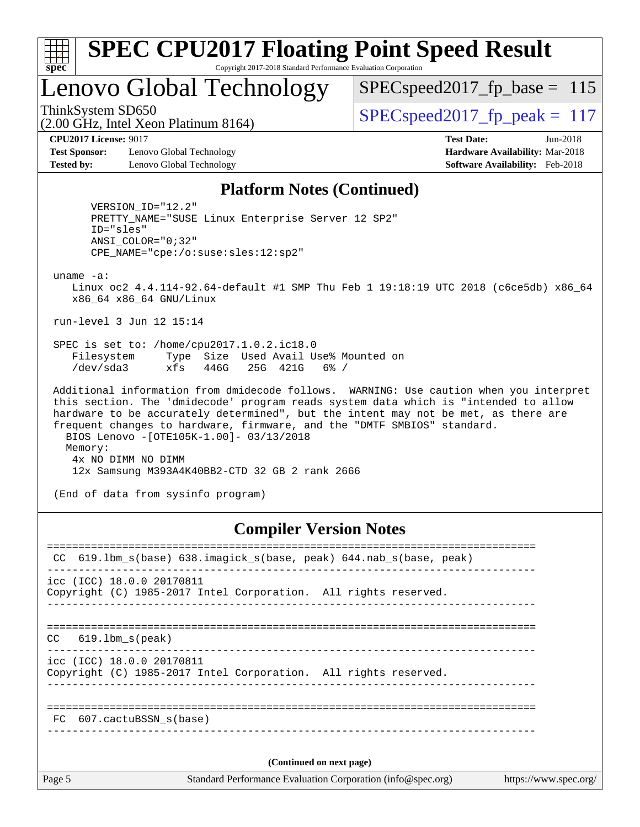

## Lenovo Global Technology

ThinkSystem SD650  $SPEC speed2017$  fp\_peak = 117 SPECspeed2017 fp base =  $115$ 

(2.00 GHz, Intel Xeon Platinum 8164)

**[Test Sponsor:](http://www.spec.org/auto/cpu2017/Docs/result-fields.html#TestSponsor)** Lenovo Global Technology **[Hardware Availability:](http://www.spec.org/auto/cpu2017/Docs/result-fields.html#HardwareAvailability)** Mar-2018 **[Tested by:](http://www.spec.org/auto/cpu2017/Docs/result-fields.html#Testedby)** Lenovo Global Technology **[Software Availability:](http://www.spec.org/auto/cpu2017/Docs/result-fields.html#SoftwareAvailability)** Feb-2018

**[CPU2017 License:](http://www.spec.org/auto/cpu2017/Docs/result-fields.html#CPU2017License)** 9017 **[Test Date:](http://www.spec.org/auto/cpu2017/Docs/result-fields.html#TestDate)** Jun-2018

#### **[Platform Notes \(Continued\)](http://www.spec.org/auto/cpu2017/Docs/result-fields.html#PlatformNotes)**

 VERSION\_ID="12.2" PRETTY\_NAME="SUSE Linux Enterprise Server 12 SP2" ID="sles" ANSI\_COLOR="0;32" CPE\_NAME="cpe:/o:suse:sles:12:sp2"

uname -a:

 Linux oc2 4.4.114-92.64-default #1 SMP Thu Feb 1 19:18:19 UTC 2018 (c6ce5db) x86\_64 x86\_64 x86\_64 GNU/Linux

run-level 3 Jun 12 15:14

 SPEC is set to: /home/cpu2017.1.0.2.ic18.0 Filesystem Type Size Used Avail Use% Mounted on /dev/sda3 xfs 446G 25G 421G 6% /

 Additional information from dmidecode follows. WARNING: Use caution when you interpret this section. The 'dmidecode' program reads system data which is "intended to allow hardware to be accurately determined", but the intent may not be met, as there are frequent changes to hardware, firmware, and the "DMTF SMBIOS" standard. BIOS Lenovo -[OTE105K-1.00]- 03/13/2018 Memory: 4x NO DIMM NO DIMM 12x Samsung M393A4K40BB2-CTD 32 GB 2 rank 2666

(End of data from sysinfo program)

## **[Compiler Version Notes](http://www.spec.org/auto/cpu2017/Docs/result-fields.html#CompilerVersionNotes)**

Page 5 Standard Performance Evaluation Corporation [\(info@spec.org\)](mailto:info@spec.org) <https://www.spec.org/> ============================================================================== CC 619.1bm s(base) 638.imagick s(base, peak) 644.nab s(base, peak) ----------------------------------------------------------------------------- icc (ICC) 18.0.0 20170811 Copyright (C) 1985-2017 Intel Corporation. All rights reserved. ------------------------------------------------------------------------------ ============================================================================== CC 619.lbm\_s(peak) ----------------------------------------------------------------------------- icc (ICC) 18.0.0 20170811 Copyright (C) 1985-2017 Intel Corporation. All rights reserved. ------------------------------------------------------------------------------ ============================================================================== FC 607.cactuBSSN\_s(base) ------------------------------------------------------------------------------ **(Continued on next page)**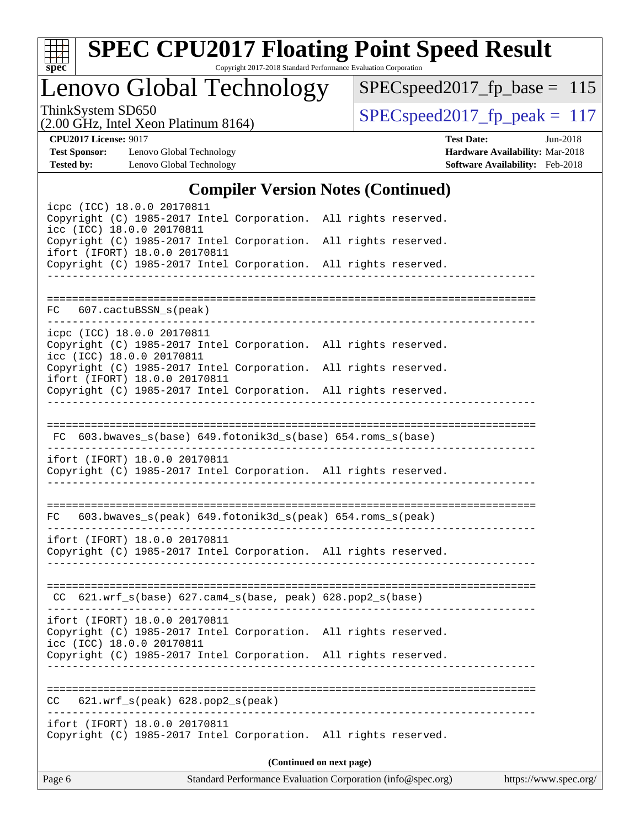

# **[SPEC CPU2017 Floating Point Speed Result](http://www.spec.org/auto/cpu2017/Docs/result-fields.html#SPECCPU2017FloatingPointSpeedResult)**

Copyright 2017-2018 Standard Performance Evaluation Corporation

Lenovo Global Technology

[SPECspeed2017\\_fp\\_base =](http://www.spec.org/auto/cpu2017/Docs/result-fields.html#SPECspeed2017fpbase) 115

(2.00 GHz, Intel Xeon Platinum 8164)

ThinkSystem SD650<br>  $(2.00 \text{ GHz})$  Intel Xeon Platinum 8164) [SPECspeed2017\\_fp\\_peak =](http://www.spec.org/auto/cpu2017/Docs/result-fields.html#SPECspeed2017fppeak) 117

**[Test Sponsor:](http://www.spec.org/auto/cpu2017/Docs/result-fields.html#TestSponsor)** Lenovo Global Technology **[Hardware Availability:](http://www.spec.org/auto/cpu2017/Docs/result-fields.html#HardwareAvailability)** Mar-2018 **[Tested by:](http://www.spec.org/auto/cpu2017/Docs/result-fields.html#Testedby)** Lenovo Global Technology **[Software Availability:](http://www.spec.org/auto/cpu2017/Docs/result-fields.html#SoftwareAvailability)** Feb-2018

**[CPU2017 License:](http://www.spec.org/auto/cpu2017/Docs/result-fields.html#CPU2017License)** 9017 **[Test Date:](http://www.spec.org/auto/cpu2017/Docs/result-fields.html#TestDate)** Jun-2018

## **[Compiler Version Notes \(Continued\)](http://www.spec.org/auto/cpu2017/Docs/result-fields.html#CompilerVersionNotes)**

| icpc (ICC) 18.0.0 20170811                                                                                                    |                          |  |
|-------------------------------------------------------------------------------------------------------------------------------|--------------------------|--|
| Copyright (C) 1985-2017 Intel Corporation. All rights reserved.<br>icc (ICC) 18.0.0 20170811                                  |                          |  |
| Copyright (C) 1985-2017 Intel Corporation. All rights reserved.<br>ifort (IFORT) 18.0.0 20170811                              |                          |  |
| Copyright (C) 1985-2017 Intel Corporation. All rights reserved.                                                               |                          |  |
|                                                                                                                               |                          |  |
| 607.cactuBSSN_s(peak)<br>FC                                                                                                   |                          |  |
| icpc (ICC) 18.0.0 20170811<br>Copyright (C) 1985-2017 Intel Corporation. All rights reserved.<br>icc (ICC) 18.0.0 20170811    |                          |  |
| Copyright (C) 1985-2017 Intel Corporation. All rights reserved.                                                               |                          |  |
| ifort (IFORT) 18.0.0 20170811<br>Copyright (C) 1985-2017 Intel Corporation. All rights reserved.                              |                          |  |
|                                                                                                                               |                          |  |
| FC 603.bwaves_s(base) 649.fotonik3d_s(base) 654.roms_s(base)                                                                  |                          |  |
| ifort (IFORT) 18.0.0 20170811                                                                                                 |                          |  |
| Copyright (C) 1985-2017 Intel Corporation. All rights reserved.                                                               |                          |  |
|                                                                                                                               |                          |  |
| FC 603.bwaves_s(peak) 649.fotonik3d_s(peak) 654.roms_s(peak)                                                                  |                          |  |
| ifort (IFORT) 18.0.0 20170811<br>Copyright (C) 1985-2017 Intel Corporation. All rights reserved.                              |                          |  |
|                                                                                                                               |                          |  |
| CC 621.wrf_s(base) 627.cam4_s(base, peak) 628.pop2_s(base)                                                                    |                          |  |
| ifort (IFORT) 18.0.0 20170811<br>Copyright (C) 1985-2017 Intel Corporation. All rights reserved.<br>icc (ICC) 18.0.0 20170811 |                          |  |
| Copyright (C) 1985-2017 Intel Corporation. All rights reserved.                                                               |                          |  |
|                                                                                                                               |                          |  |
| 621.wrf_s(peak) 628.pop2_s(peak)<br>CC                                                                                        |                          |  |
| ifort (IFORT) 18.0.0 20170811<br>Copyright (C) 1985-2017 Intel Corporation. All rights reserved.                              |                          |  |
|                                                                                                                               | (Continued on next page) |  |
|                                                                                                                               |                          |  |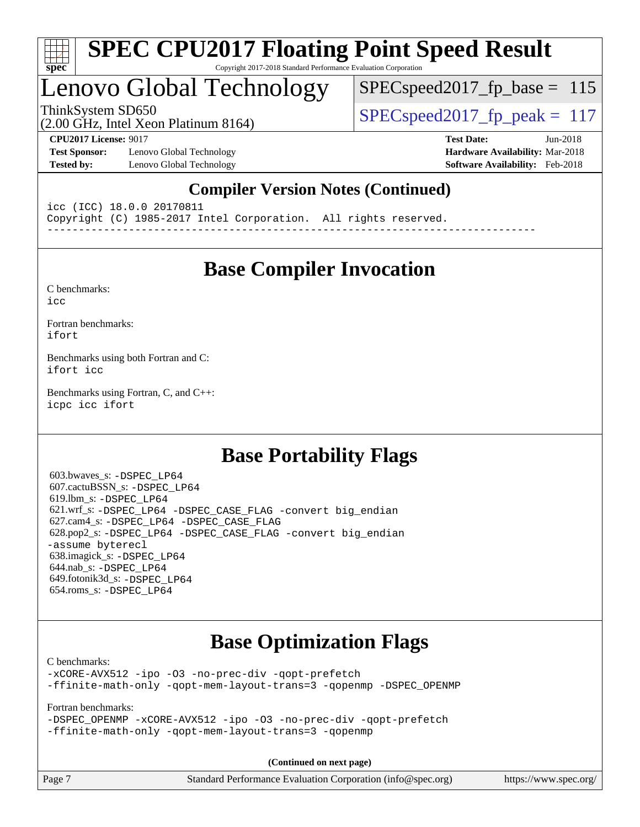

## Lenovo Global Technology

SPECspeed2017 fp base =  $115$ 

(2.00 GHz, Intel Xeon Platinum 8164) ThinkSystem SD650 SPECspeed2017 fp\_peak = 117

**[Test Sponsor:](http://www.spec.org/auto/cpu2017/Docs/result-fields.html#TestSponsor)** Lenovo Global Technology **[Hardware Availability:](http://www.spec.org/auto/cpu2017/Docs/result-fields.html#HardwareAvailability)** Mar-2018 **[Tested by:](http://www.spec.org/auto/cpu2017/Docs/result-fields.html#Testedby)** Lenovo Global Technology **[Software Availability:](http://www.spec.org/auto/cpu2017/Docs/result-fields.html#SoftwareAvailability)** Feb-2018

**[CPU2017 License:](http://www.spec.org/auto/cpu2017/Docs/result-fields.html#CPU2017License)** 9017 **[Test Date:](http://www.spec.org/auto/cpu2017/Docs/result-fields.html#TestDate)** Jun-2018

## **[Compiler Version Notes \(Continued\)](http://www.spec.org/auto/cpu2017/Docs/result-fields.html#CompilerVersionNotes)**

icc (ICC) 18.0.0 20170811 Copyright (C) 1985-2017 Intel Corporation. All rights reserved. ------------------------------------------------------------------------------

## **[Base Compiler Invocation](http://www.spec.org/auto/cpu2017/Docs/result-fields.html#BaseCompilerInvocation)**

[C benchmarks](http://www.spec.org/auto/cpu2017/Docs/result-fields.html#Cbenchmarks): [icc](http://www.spec.org/cpu2017/results/res2018q3/cpu2017-20180625-07330.flags.html#user_CCbase_intel_icc_18.0_66fc1ee009f7361af1fbd72ca7dcefbb700085f36577c54f309893dd4ec40d12360134090235512931783d35fd58c0460139e722d5067c5574d8eaf2b3e37e92)

[Fortran benchmarks](http://www.spec.org/auto/cpu2017/Docs/result-fields.html#Fortranbenchmarks): [ifort](http://www.spec.org/cpu2017/results/res2018q3/cpu2017-20180625-07330.flags.html#user_FCbase_intel_ifort_18.0_8111460550e3ca792625aed983ce982f94888b8b503583aa7ba2b8303487b4d8a21a13e7191a45c5fd58ff318f48f9492884d4413fa793fd88dd292cad7027ca)

[Benchmarks using both Fortran and C](http://www.spec.org/auto/cpu2017/Docs/result-fields.html#BenchmarksusingbothFortranandC): [ifort](http://www.spec.org/cpu2017/results/res2018q3/cpu2017-20180625-07330.flags.html#user_CC_FCbase_intel_ifort_18.0_8111460550e3ca792625aed983ce982f94888b8b503583aa7ba2b8303487b4d8a21a13e7191a45c5fd58ff318f48f9492884d4413fa793fd88dd292cad7027ca) [icc](http://www.spec.org/cpu2017/results/res2018q3/cpu2017-20180625-07330.flags.html#user_CC_FCbase_intel_icc_18.0_66fc1ee009f7361af1fbd72ca7dcefbb700085f36577c54f309893dd4ec40d12360134090235512931783d35fd58c0460139e722d5067c5574d8eaf2b3e37e92)

[Benchmarks using Fortran, C, and C++:](http://www.spec.org/auto/cpu2017/Docs/result-fields.html#BenchmarksusingFortranCandCXX) [icpc](http://www.spec.org/cpu2017/results/res2018q3/cpu2017-20180625-07330.flags.html#user_CC_CXX_FCbase_intel_icpc_18.0_c510b6838c7f56d33e37e94d029a35b4a7bccf4766a728ee175e80a419847e808290a9b78be685c44ab727ea267ec2f070ec5dc83b407c0218cded6866a35d07) [icc](http://www.spec.org/cpu2017/results/res2018q3/cpu2017-20180625-07330.flags.html#user_CC_CXX_FCbase_intel_icc_18.0_66fc1ee009f7361af1fbd72ca7dcefbb700085f36577c54f309893dd4ec40d12360134090235512931783d35fd58c0460139e722d5067c5574d8eaf2b3e37e92) [ifort](http://www.spec.org/cpu2017/results/res2018q3/cpu2017-20180625-07330.flags.html#user_CC_CXX_FCbase_intel_ifort_18.0_8111460550e3ca792625aed983ce982f94888b8b503583aa7ba2b8303487b4d8a21a13e7191a45c5fd58ff318f48f9492884d4413fa793fd88dd292cad7027ca)

## **[Base Portability Flags](http://www.spec.org/auto/cpu2017/Docs/result-fields.html#BasePortabilityFlags)**

 603.bwaves\_s: [-DSPEC\\_LP64](http://www.spec.org/cpu2017/results/res2018q3/cpu2017-20180625-07330.flags.html#suite_basePORTABILITY603_bwaves_s_DSPEC_LP64) 607.cactuBSSN\_s: [-DSPEC\\_LP64](http://www.spec.org/cpu2017/results/res2018q3/cpu2017-20180625-07330.flags.html#suite_basePORTABILITY607_cactuBSSN_s_DSPEC_LP64) 619.lbm\_s: [-DSPEC\\_LP64](http://www.spec.org/cpu2017/results/res2018q3/cpu2017-20180625-07330.flags.html#suite_basePORTABILITY619_lbm_s_DSPEC_LP64) 621.wrf\_s: [-DSPEC\\_LP64](http://www.spec.org/cpu2017/results/res2018q3/cpu2017-20180625-07330.flags.html#suite_basePORTABILITY621_wrf_s_DSPEC_LP64) [-DSPEC\\_CASE\\_FLAG](http://www.spec.org/cpu2017/results/res2018q3/cpu2017-20180625-07330.flags.html#b621.wrf_s_baseCPORTABILITY_DSPEC_CASE_FLAG) [-convert big\\_endian](http://www.spec.org/cpu2017/results/res2018q3/cpu2017-20180625-07330.flags.html#user_baseFPORTABILITY621_wrf_s_convert_big_endian_c3194028bc08c63ac5d04de18c48ce6d347e4e562e8892b8bdbdc0214820426deb8554edfa529a3fb25a586e65a3d812c835984020483e7e73212c4d31a38223) 627.cam4\_s: [-DSPEC\\_LP64](http://www.spec.org/cpu2017/results/res2018q3/cpu2017-20180625-07330.flags.html#suite_basePORTABILITY627_cam4_s_DSPEC_LP64) [-DSPEC\\_CASE\\_FLAG](http://www.spec.org/cpu2017/results/res2018q3/cpu2017-20180625-07330.flags.html#b627.cam4_s_baseCPORTABILITY_DSPEC_CASE_FLAG) 628.pop2\_s: [-DSPEC\\_LP64](http://www.spec.org/cpu2017/results/res2018q3/cpu2017-20180625-07330.flags.html#suite_basePORTABILITY628_pop2_s_DSPEC_LP64) [-DSPEC\\_CASE\\_FLAG](http://www.spec.org/cpu2017/results/res2018q3/cpu2017-20180625-07330.flags.html#b628.pop2_s_baseCPORTABILITY_DSPEC_CASE_FLAG) [-convert big\\_endian](http://www.spec.org/cpu2017/results/res2018q3/cpu2017-20180625-07330.flags.html#user_baseFPORTABILITY628_pop2_s_convert_big_endian_c3194028bc08c63ac5d04de18c48ce6d347e4e562e8892b8bdbdc0214820426deb8554edfa529a3fb25a586e65a3d812c835984020483e7e73212c4d31a38223) [-assume byterecl](http://www.spec.org/cpu2017/results/res2018q3/cpu2017-20180625-07330.flags.html#user_baseFPORTABILITY628_pop2_s_assume_byterecl_7e47d18b9513cf18525430bbf0f2177aa9bf368bc7a059c09b2c06a34b53bd3447c950d3f8d6c70e3faf3a05c8557d66a5798b567902e8849adc142926523472) 638.imagick\_s: [-DSPEC\\_LP64](http://www.spec.org/cpu2017/results/res2018q3/cpu2017-20180625-07330.flags.html#suite_basePORTABILITY638_imagick_s_DSPEC_LP64) 644.nab\_s: [-DSPEC\\_LP64](http://www.spec.org/cpu2017/results/res2018q3/cpu2017-20180625-07330.flags.html#suite_basePORTABILITY644_nab_s_DSPEC_LP64) 649.fotonik3d\_s: [-DSPEC\\_LP64](http://www.spec.org/cpu2017/results/res2018q3/cpu2017-20180625-07330.flags.html#suite_basePORTABILITY649_fotonik3d_s_DSPEC_LP64) 654.roms\_s: [-DSPEC\\_LP64](http://www.spec.org/cpu2017/results/res2018q3/cpu2017-20180625-07330.flags.html#suite_basePORTABILITY654_roms_s_DSPEC_LP64)

## **[Base Optimization Flags](http://www.spec.org/auto/cpu2017/Docs/result-fields.html#BaseOptimizationFlags)**

[C benchmarks](http://www.spec.org/auto/cpu2017/Docs/result-fields.html#Cbenchmarks):

[-xCORE-AVX512](http://www.spec.org/cpu2017/results/res2018q3/cpu2017-20180625-07330.flags.html#user_CCbase_f-xCORE-AVX512) [-ipo](http://www.spec.org/cpu2017/results/res2018q3/cpu2017-20180625-07330.flags.html#user_CCbase_f-ipo) [-O3](http://www.spec.org/cpu2017/results/res2018q3/cpu2017-20180625-07330.flags.html#user_CCbase_f-O3) [-no-prec-div](http://www.spec.org/cpu2017/results/res2018q3/cpu2017-20180625-07330.flags.html#user_CCbase_f-no-prec-div) [-qopt-prefetch](http://www.spec.org/cpu2017/results/res2018q3/cpu2017-20180625-07330.flags.html#user_CCbase_f-qopt-prefetch) [-ffinite-math-only](http://www.spec.org/cpu2017/results/res2018q3/cpu2017-20180625-07330.flags.html#user_CCbase_f_finite_math_only_cb91587bd2077682c4b38af759c288ed7c732db004271a9512da14a4f8007909a5f1427ecbf1a0fb78ff2a814402c6114ac565ca162485bbcae155b5e4258871) [-qopt-mem-layout-trans=3](http://www.spec.org/cpu2017/results/res2018q3/cpu2017-20180625-07330.flags.html#user_CCbase_f-qopt-mem-layout-trans_de80db37974c74b1f0e20d883f0b675c88c3b01e9d123adea9b28688d64333345fb62bc4a798493513fdb68f60282f9a726aa07f478b2f7113531aecce732043) [-qopenmp](http://www.spec.org/cpu2017/results/res2018q3/cpu2017-20180625-07330.flags.html#user_CCbase_qopenmp_16be0c44f24f464004c6784a7acb94aca937f053568ce72f94b139a11c7c168634a55f6653758ddd83bcf7b8463e8028bb0b48b77bcddc6b78d5d95bb1df2967) [-DSPEC\\_OPENMP](http://www.spec.org/cpu2017/results/res2018q3/cpu2017-20180625-07330.flags.html#suite_CCbase_DSPEC_OPENMP)

[Fortran benchmarks](http://www.spec.org/auto/cpu2017/Docs/result-fields.html#Fortranbenchmarks):

[-DSPEC\\_OPENMP](http://www.spec.org/cpu2017/results/res2018q3/cpu2017-20180625-07330.flags.html#suite_FCbase_DSPEC_OPENMP) [-xCORE-AVX512](http://www.spec.org/cpu2017/results/res2018q3/cpu2017-20180625-07330.flags.html#user_FCbase_f-xCORE-AVX512) [-ipo](http://www.spec.org/cpu2017/results/res2018q3/cpu2017-20180625-07330.flags.html#user_FCbase_f-ipo) [-O3](http://www.spec.org/cpu2017/results/res2018q3/cpu2017-20180625-07330.flags.html#user_FCbase_f-O3) [-no-prec-div](http://www.spec.org/cpu2017/results/res2018q3/cpu2017-20180625-07330.flags.html#user_FCbase_f-no-prec-div) [-qopt-prefetch](http://www.spec.org/cpu2017/results/res2018q3/cpu2017-20180625-07330.flags.html#user_FCbase_f-qopt-prefetch) [-ffinite-math-only](http://www.spec.org/cpu2017/results/res2018q3/cpu2017-20180625-07330.flags.html#user_FCbase_f_finite_math_only_cb91587bd2077682c4b38af759c288ed7c732db004271a9512da14a4f8007909a5f1427ecbf1a0fb78ff2a814402c6114ac565ca162485bbcae155b5e4258871) [-qopt-mem-layout-trans=3](http://www.spec.org/cpu2017/results/res2018q3/cpu2017-20180625-07330.flags.html#user_FCbase_f-qopt-mem-layout-trans_de80db37974c74b1f0e20d883f0b675c88c3b01e9d123adea9b28688d64333345fb62bc4a798493513fdb68f60282f9a726aa07f478b2f7113531aecce732043) [-qopenmp](http://www.spec.org/cpu2017/results/res2018q3/cpu2017-20180625-07330.flags.html#user_FCbase_qopenmp_16be0c44f24f464004c6784a7acb94aca937f053568ce72f94b139a11c7c168634a55f6653758ddd83bcf7b8463e8028bb0b48b77bcddc6b78d5d95bb1df2967)

**(Continued on next page)**

| Page 7<br>Standard Performance Evaluation Corporation (info@spec.org)<br>https://www.spec.org/ |
|------------------------------------------------------------------------------------------------|
|------------------------------------------------------------------------------------------------|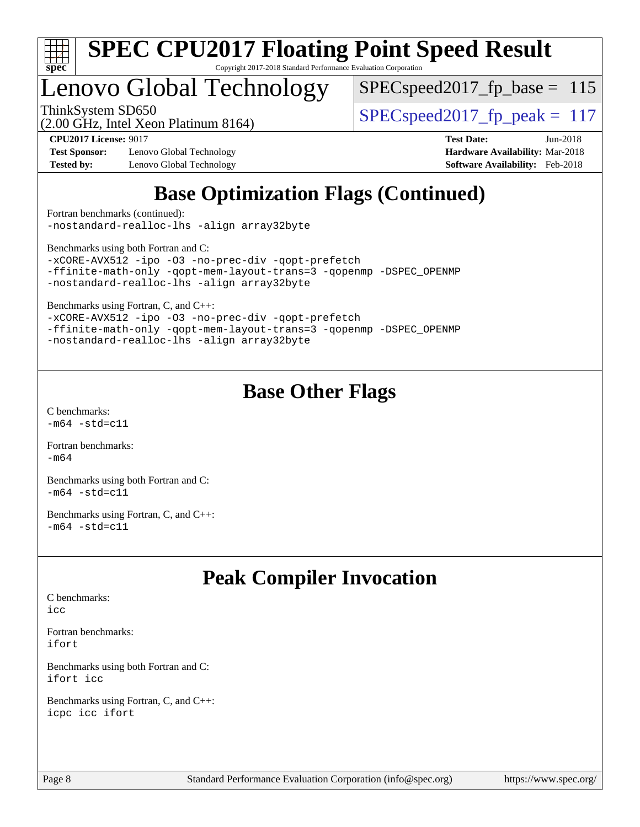

## Lenovo Global Technology

 $SPEC speed2017_fp\_base = 115$ 

(2.00 GHz, Intel Xeon Platinum 8164)

ThinkSystem SD650  $SPEC speed2017$  fp\_peak = 117

**[Test Sponsor:](http://www.spec.org/auto/cpu2017/Docs/result-fields.html#TestSponsor)** Lenovo Global Technology **[Hardware Availability:](http://www.spec.org/auto/cpu2017/Docs/result-fields.html#HardwareAvailability)** Mar-2018 **[Tested by:](http://www.spec.org/auto/cpu2017/Docs/result-fields.html#Testedby)** Lenovo Global Technology **[Software Availability:](http://www.spec.org/auto/cpu2017/Docs/result-fields.html#SoftwareAvailability)** Feb-2018

**[CPU2017 License:](http://www.spec.org/auto/cpu2017/Docs/result-fields.html#CPU2017License)** 9017 **[Test Date:](http://www.spec.org/auto/cpu2017/Docs/result-fields.html#TestDate)** Jun-2018

## **[Base Optimization Flags \(Continued\)](http://www.spec.org/auto/cpu2017/Docs/result-fields.html#BaseOptimizationFlags)**

[Fortran benchmarks](http://www.spec.org/auto/cpu2017/Docs/result-fields.html#Fortranbenchmarks) (continued): [-nostandard-realloc-lhs](http://www.spec.org/cpu2017/results/res2018q3/cpu2017-20180625-07330.flags.html#user_FCbase_f_2003_std_realloc_82b4557e90729c0f113870c07e44d33d6f5a304b4f63d4c15d2d0f1fab99f5daaed73bdb9275d9ae411527f28b936061aa8b9c8f2d63842963b95c9dd6426b8a) [-align array32byte](http://www.spec.org/cpu2017/results/res2018q3/cpu2017-20180625-07330.flags.html#user_FCbase_align_array32byte_b982fe038af199962ba9a80c053b8342c548c85b40b8e86eb3cc33dee0d7986a4af373ac2d51c3f7cf710a18d62fdce2948f201cd044323541f22fc0fffc51b6)

[Benchmarks using both Fortran and C](http://www.spec.org/auto/cpu2017/Docs/result-fields.html#BenchmarksusingbothFortranandC):

[-xCORE-AVX512](http://www.spec.org/cpu2017/results/res2018q3/cpu2017-20180625-07330.flags.html#user_CC_FCbase_f-xCORE-AVX512) [-ipo](http://www.spec.org/cpu2017/results/res2018q3/cpu2017-20180625-07330.flags.html#user_CC_FCbase_f-ipo) [-O3](http://www.spec.org/cpu2017/results/res2018q3/cpu2017-20180625-07330.flags.html#user_CC_FCbase_f-O3) [-no-prec-div](http://www.spec.org/cpu2017/results/res2018q3/cpu2017-20180625-07330.flags.html#user_CC_FCbase_f-no-prec-div) [-qopt-prefetch](http://www.spec.org/cpu2017/results/res2018q3/cpu2017-20180625-07330.flags.html#user_CC_FCbase_f-qopt-prefetch) [-ffinite-math-only](http://www.spec.org/cpu2017/results/res2018q3/cpu2017-20180625-07330.flags.html#user_CC_FCbase_f_finite_math_only_cb91587bd2077682c4b38af759c288ed7c732db004271a9512da14a4f8007909a5f1427ecbf1a0fb78ff2a814402c6114ac565ca162485bbcae155b5e4258871) [-qopt-mem-layout-trans=3](http://www.spec.org/cpu2017/results/res2018q3/cpu2017-20180625-07330.flags.html#user_CC_FCbase_f-qopt-mem-layout-trans_de80db37974c74b1f0e20d883f0b675c88c3b01e9d123adea9b28688d64333345fb62bc4a798493513fdb68f60282f9a726aa07f478b2f7113531aecce732043) [-qopenmp](http://www.spec.org/cpu2017/results/res2018q3/cpu2017-20180625-07330.flags.html#user_CC_FCbase_qopenmp_16be0c44f24f464004c6784a7acb94aca937f053568ce72f94b139a11c7c168634a55f6653758ddd83bcf7b8463e8028bb0b48b77bcddc6b78d5d95bb1df2967) [-DSPEC\\_OPENMP](http://www.spec.org/cpu2017/results/res2018q3/cpu2017-20180625-07330.flags.html#suite_CC_FCbase_DSPEC_OPENMP) [-nostandard-realloc-lhs](http://www.spec.org/cpu2017/results/res2018q3/cpu2017-20180625-07330.flags.html#user_CC_FCbase_f_2003_std_realloc_82b4557e90729c0f113870c07e44d33d6f5a304b4f63d4c15d2d0f1fab99f5daaed73bdb9275d9ae411527f28b936061aa8b9c8f2d63842963b95c9dd6426b8a) [-align array32byte](http://www.spec.org/cpu2017/results/res2018q3/cpu2017-20180625-07330.flags.html#user_CC_FCbase_align_array32byte_b982fe038af199962ba9a80c053b8342c548c85b40b8e86eb3cc33dee0d7986a4af373ac2d51c3f7cf710a18d62fdce2948f201cd044323541f22fc0fffc51b6)

[Benchmarks using Fortran, C, and C++:](http://www.spec.org/auto/cpu2017/Docs/result-fields.html#BenchmarksusingFortranCandCXX)

[-xCORE-AVX512](http://www.spec.org/cpu2017/results/res2018q3/cpu2017-20180625-07330.flags.html#user_CC_CXX_FCbase_f-xCORE-AVX512) [-ipo](http://www.spec.org/cpu2017/results/res2018q3/cpu2017-20180625-07330.flags.html#user_CC_CXX_FCbase_f-ipo) [-O3](http://www.spec.org/cpu2017/results/res2018q3/cpu2017-20180625-07330.flags.html#user_CC_CXX_FCbase_f-O3) [-no-prec-div](http://www.spec.org/cpu2017/results/res2018q3/cpu2017-20180625-07330.flags.html#user_CC_CXX_FCbase_f-no-prec-div) [-qopt-prefetch](http://www.spec.org/cpu2017/results/res2018q3/cpu2017-20180625-07330.flags.html#user_CC_CXX_FCbase_f-qopt-prefetch) [-ffinite-math-only](http://www.spec.org/cpu2017/results/res2018q3/cpu2017-20180625-07330.flags.html#user_CC_CXX_FCbase_f_finite_math_only_cb91587bd2077682c4b38af759c288ed7c732db004271a9512da14a4f8007909a5f1427ecbf1a0fb78ff2a814402c6114ac565ca162485bbcae155b5e4258871) [-qopt-mem-layout-trans=3](http://www.spec.org/cpu2017/results/res2018q3/cpu2017-20180625-07330.flags.html#user_CC_CXX_FCbase_f-qopt-mem-layout-trans_de80db37974c74b1f0e20d883f0b675c88c3b01e9d123adea9b28688d64333345fb62bc4a798493513fdb68f60282f9a726aa07f478b2f7113531aecce732043) [-qopenmp](http://www.spec.org/cpu2017/results/res2018q3/cpu2017-20180625-07330.flags.html#user_CC_CXX_FCbase_qopenmp_16be0c44f24f464004c6784a7acb94aca937f053568ce72f94b139a11c7c168634a55f6653758ddd83bcf7b8463e8028bb0b48b77bcddc6b78d5d95bb1df2967) [-DSPEC\\_OPENMP](http://www.spec.org/cpu2017/results/res2018q3/cpu2017-20180625-07330.flags.html#suite_CC_CXX_FCbase_DSPEC_OPENMP) [-nostandard-realloc-lhs](http://www.spec.org/cpu2017/results/res2018q3/cpu2017-20180625-07330.flags.html#user_CC_CXX_FCbase_f_2003_std_realloc_82b4557e90729c0f113870c07e44d33d6f5a304b4f63d4c15d2d0f1fab99f5daaed73bdb9275d9ae411527f28b936061aa8b9c8f2d63842963b95c9dd6426b8a) [-align array32byte](http://www.spec.org/cpu2017/results/res2018q3/cpu2017-20180625-07330.flags.html#user_CC_CXX_FCbase_align_array32byte_b982fe038af199962ba9a80c053b8342c548c85b40b8e86eb3cc33dee0d7986a4af373ac2d51c3f7cf710a18d62fdce2948f201cd044323541f22fc0fffc51b6)

## **[Base Other Flags](http://www.spec.org/auto/cpu2017/Docs/result-fields.html#BaseOtherFlags)**

[C benchmarks](http://www.spec.org/auto/cpu2017/Docs/result-fields.html#Cbenchmarks):  $-m64 - std= c11$  $-m64 - std= c11$ 

[Fortran benchmarks](http://www.spec.org/auto/cpu2017/Docs/result-fields.html#Fortranbenchmarks): [-m64](http://www.spec.org/cpu2017/results/res2018q3/cpu2017-20180625-07330.flags.html#user_FCbase_intel_intel64_18.0_af43caccfc8ded86e7699f2159af6efc7655f51387b94da716254467f3c01020a5059329e2569e4053f409e7c9202a7efc638f7a6d1ffb3f52dea4a3e31d82ab)

[Benchmarks using both Fortran and C](http://www.spec.org/auto/cpu2017/Docs/result-fields.html#BenchmarksusingbothFortranandC):  $-m64 - std= c11$  $-m64 - std= c11$ 

[Benchmarks using Fortran, C, and C++:](http://www.spec.org/auto/cpu2017/Docs/result-fields.html#BenchmarksusingFortranCandCXX)  $-m64 - std= c11$  $-m64 - std= c11$ 

## **[Peak Compiler Invocation](http://www.spec.org/auto/cpu2017/Docs/result-fields.html#PeakCompilerInvocation)**

[C benchmarks](http://www.spec.org/auto/cpu2017/Docs/result-fields.html#Cbenchmarks): [icc](http://www.spec.org/cpu2017/results/res2018q3/cpu2017-20180625-07330.flags.html#user_CCpeak_intel_icc_18.0_66fc1ee009f7361af1fbd72ca7dcefbb700085f36577c54f309893dd4ec40d12360134090235512931783d35fd58c0460139e722d5067c5574d8eaf2b3e37e92)

[Fortran benchmarks](http://www.spec.org/auto/cpu2017/Docs/result-fields.html#Fortranbenchmarks): [ifort](http://www.spec.org/cpu2017/results/res2018q3/cpu2017-20180625-07330.flags.html#user_FCpeak_intel_ifort_18.0_8111460550e3ca792625aed983ce982f94888b8b503583aa7ba2b8303487b4d8a21a13e7191a45c5fd58ff318f48f9492884d4413fa793fd88dd292cad7027ca)

[Benchmarks using both Fortran and C](http://www.spec.org/auto/cpu2017/Docs/result-fields.html#BenchmarksusingbothFortranandC): [ifort](http://www.spec.org/cpu2017/results/res2018q3/cpu2017-20180625-07330.flags.html#user_CC_FCpeak_intel_ifort_18.0_8111460550e3ca792625aed983ce982f94888b8b503583aa7ba2b8303487b4d8a21a13e7191a45c5fd58ff318f48f9492884d4413fa793fd88dd292cad7027ca) [icc](http://www.spec.org/cpu2017/results/res2018q3/cpu2017-20180625-07330.flags.html#user_CC_FCpeak_intel_icc_18.0_66fc1ee009f7361af1fbd72ca7dcefbb700085f36577c54f309893dd4ec40d12360134090235512931783d35fd58c0460139e722d5067c5574d8eaf2b3e37e92)

[Benchmarks using Fortran, C, and C++:](http://www.spec.org/auto/cpu2017/Docs/result-fields.html#BenchmarksusingFortranCandCXX) [icpc](http://www.spec.org/cpu2017/results/res2018q3/cpu2017-20180625-07330.flags.html#user_CC_CXX_FCpeak_intel_icpc_18.0_c510b6838c7f56d33e37e94d029a35b4a7bccf4766a728ee175e80a419847e808290a9b78be685c44ab727ea267ec2f070ec5dc83b407c0218cded6866a35d07) [icc](http://www.spec.org/cpu2017/results/res2018q3/cpu2017-20180625-07330.flags.html#user_CC_CXX_FCpeak_intel_icc_18.0_66fc1ee009f7361af1fbd72ca7dcefbb700085f36577c54f309893dd4ec40d12360134090235512931783d35fd58c0460139e722d5067c5574d8eaf2b3e37e92) [ifort](http://www.spec.org/cpu2017/results/res2018q3/cpu2017-20180625-07330.flags.html#user_CC_CXX_FCpeak_intel_ifort_18.0_8111460550e3ca792625aed983ce982f94888b8b503583aa7ba2b8303487b4d8a21a13e7191a45c5fd58ff318f48f9492884d4413fa793fd88dd292cad7027ca)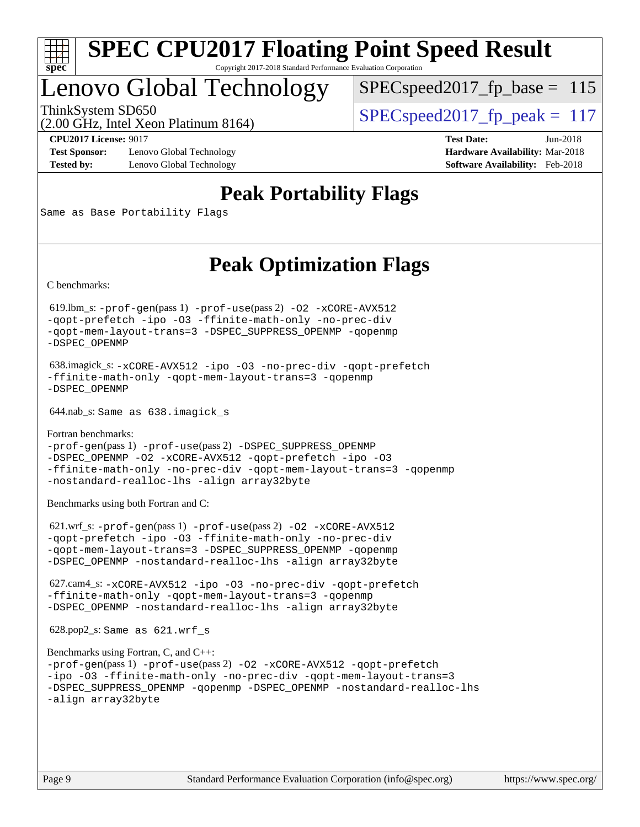

## Lenovo Global Technology

 $SPEC speed2017_fp\_base = 115$ 

(2.00 GHz, Intel Xeon Platinum 8164) ThinkSystem SD650  $SPEC speed2017$  fp\_peak = 117

**[Test Sponsor:](http://www.spec.org/auto/cpu2017/Docs/result-fields.html#TestSponsor)** Lenovo Global Technology **[Hardware Availability:](http://www.spec.org/auto/cpu2017/Docs/result-fields.html#HardwareAvailability)** Mar-2018 **[Tested by:](http://www.spec.org/auto/cpu2017/Docs/result-fields.html#Testedby)** Lenovo Global Technology **[Software Availability:](http://www.spec.org/auto/cpu2017/Docs/result-fields.html#SoftwareAvailability)** Feb-2018

**[CPU2017 License:](http://www.spec.org/auto/cpu2017/Docs/result-fields.html#CPU2017License)** 9017 **[Test Date:](http://www.spec.org/auto/cpu2017/Docs/result-fields.html#TestDate)** Jun-2018

**[Peak Portability Flags](http://www.spec.org/auto/cpu2017/Docs/result-fields.html#PeakPortabilityFlags)**

Same as Base Portability Flags

## **[Peak Optimization Flags](http://www.spec.org/auto/cpu2017/Docs/result-fields.html#PeakOptimizationFlags)**

[C benchmarks](http://www.spec.org/auto/cpu2017/Docs/result-fields.html#Cbenchmarks):

 619.lbm\_s: [-prof-gen](http://www.spec.org/cpu2017/results/res2018q3/cpu2017-20180625-07330.flags.html#user_peakPASS1_CFLAGSPASS1_LDFLAGS619_lbm_s_prof_gen_5aa4926d6013ddb2a31985c654b3eb18169fc0c6952a63635c234f711e6e63dd76e94ad52365559451ec499a2cdb89e4dc58ba4c67ef54ca681ffbe1461d6b36)(pass 1) [-prof-use](http://www.spec.org/cpu2017/results/res2018q3/cpu2017-20180625-07330.flags.html#user_peakPASS2_CFLAGSPASS2_LDFLAGS619_lbm_s_prof_use_1a21ceae95f36a2b53c25747139a6c16ca95bd9def2a207b4f0849963b97e94f5260e30a0c64f4bb623698870e679ca08317ef8150905d41bd88c6f78df73f19)(pass 2) [-O2](http://www.spec.org/cpu2017/results/res2018q3/cpu2017-20180625-07330.flags.html#user_peakPASS1_COPTIMIZE619_lbm_s_f-O2) [-xCORE-AVX512](http://www.spec.org/cpu2017/results/res2018q3/cpu2017-20180625-07330.flags.html#user_peakPASS2_COPTIMIZE619_lbm_s_f-xCORE-AVX512) [-qopt-prefetch](http://www.spec.org/cpu2017/results/res2018q3/cpu2017-20180625-07330.flags.html#user_peakPASS1_COPTIMIZEPASS2_COPTIMIZE619_lbm_s_f-qopt-prefetch) [-ipo](http://www.spec.org/cpu2017/results/res2018q3/cpu2017-20180625-07330.flags.html#user_peakPASS2_COPTIMIZE619_lbm_s_f-ipo) [-O3](http://www.spec.org/cpu2017/results/res2018q3/cpu2017-20180625-07330.flags.html#user_peakPASS2_COPTIMIZE619_lbm_s_f-O3) [-ffinite-math-only](http://www.spec.org/cpu2017/results/res2018q3/cpu2017-20180625-07330.flags.html#user_peakPASS1_COPTIMIZEPASS2_COPTIMIZE619_lbm_s_f_finite_math_only_cb91587bd2077682c4b38af759c288ed7c732db004271a9512da14a4f8007909a5f1427ecbf1a0fb78ff2a814402c6114ac565ca162485bbcae155b5e4258871) [-no-prec-div](http://www.spec.org/cpu2017/results/res2018q3/cpu2017-20180625-07330.flags.html#user_peakPASS2_COPTIMIZE619_lbm_s_f-no-prec-div) [-qopt-mem-layout-trans=3](http://www.spec.org/cpu2017/results/res2018q3/cpu2017-20180625-07330.flags.html#user_peakPASS1_COPTIMIZEPASS2_COPTIMIZE619_lbm_s_f-qopt-mem-layout-trans_de80db37974c74b1f0e20d883f0b675c88c3b01e9d123adea9b28688d64333345fb62bc4a798493513fdb68f60282f9a726aa07f478b2f7113531aecce732043) [-DSPEC\\_SUPPRESS\\_OPENMP](http://www.spec.org/cpu2017/results/res2018q3/cpu2017-20180625-07330.flags.html#suite_peakPASS1_COPTIMIZE619_lbm_s_DSPEC_SUPPRESS_OPENMP) [-qopenmp](http://www.spec.org/cpu2017/results/res2018q3/cpu2017-20180625-07330.flags.html#user_peakPASS2_COPTIMIZE619_lbm_s_qopenmp_16be0c44f24f464004c6784a7acb94aca937f053568ce72f94b139a11c7c168634a55f6653758ddd83bcf7b8463e8028bb0b48b77bcddc6b78d5d95bb1df2967) [-DSPEC\\_OPENMP](http://www.spec.org/cpu2017/results/res2018q3/cpu2017-20180625-07330.flags.html#suite_peakPASS2_COPTIMIZE619_lbm_s_DSPEC_OPENMP)

 638.imagick\_s: [-xCORE-AVX512](http://www.spec.org/cpu2017/results/res2018q3/cpu2017-20180625-07330.flags.html#user_peakCOPTIMIZE638_imagick_s_f-xCORE-AVX512) [-ipo](http://www.spec.org/cpu2017/results/res2018q3/cpu2017-20180625-07330.flags.html#user_peakCOPTIMIZE638_imagick_s_f-ipo) [-O3](http://www.spec.org/cpu2017/results/res2018q3/cpu2017-20180625-07330.flags.html#user_peakCOPTIMIZE638_imagick_s_f-O3) [-no-prec-div](http://www.spec.org/cpu2017/results/res2018q3/cpu2017-20180625-07330.flags.html#user_peakCOPTIMIZE638_imagick_s_f-no-prec-div) [-qopt-prefetch](http://www.spec.org/cpu2017/results/res2018q3/cpu2017-20180625-07330.flags.html#user_peakCOPTIMIZE638_imagick_s_f-qopt-prefetch) [-ffinite-math-only](http://www.spec.org/cpu2017/results/res2018q3/cpu2017-20180625-07330.flags.html#user_peakCOPTIMIZE638_imagick_s_f_finite_math_only_cb91587bd2077682c4b38af759c288ed7c732db004271a9512da14a4f8007909a5f1427ecbf1a0fb78ff2a814402c6114ac565ca162485bbcae155b5e4258871) [-qopt-mem-layout-trans=3](http://www.spec.org/cpu2017/results/res2018q3/cpu2017-20180625-07330.flags.html#user_peakCOPTIMIZE638_imagick_s_f-qopt-mem-layout-trans_de80db37974c74b1f0e20d883f0b675c88c3b01e9d123adea9b28688d64333345fb62bc4a798493513fdb68f60282f9a726aa07f478b2f7113531aecce732043) [-qopenmp](http://www.spec.org/cpu2017/results/res2018q3/cpu2017-20180625-07330.flags.html#user_peakCOPTIMIZE638_imagick_s_qopenmp_16be0c44f24f464004c6784a7acb94aca937f053568ce72f94b139a11c7c168634a55f6653758ddd83bcf7b8463e8028bb0b48b77bcddc6b78d5d95bb1df2967) [-DSPEC\\_OPENMP](http://www.spec.org/cpu2017/results/res2018q3/cpu2017-20180625-07330.flags.html#suite_peakCOPTIMIZE638_imagick_s_DSPEC_OPENMP)

644.nab\_s: Same as 638.imagick\_s

[Fortran benchmarks](http://www.spec.org/auto/cpu2017/Docs/result-fields.html#Fortranbenchmarks): [-prof-gen](http://www.spec.org/cpu2017/results/res2018q3/cpu2017-20180625-07330.flags.html#user_FCpeak_prof_gen_5aa4926d6013ddb2a31985c654b3eb18169fc0c6952a63635c234f711e6e63dd76e94ad52365559451ec499a2cdb89e4dc58ba4c67ef54ca681ffbe1461d6b36)(pass 1) [-prof-use](http://www.spec.org/cpu2017/results/res2018q3/cpu2017-20180625-07330.flags.html#user_FCpeak_prof_use_1a21ceae95f36a2b53c25747139a6c16ca95bd9def2a207b4f0849963b97e94f5260e30a0c64f4bb623698870e679ca08317ef8150905d41bd88c6f78df73f19)(pass 2) [-DSPEC\\_SUPPRESS\\_OPENMP](http://www.spec.org/cpu2017/results/res2018q3/cpu2017-20180625-07330.flags.html#suite_FCpeak_DSPEC_SUPPRESS_OPENMP) [-DSPEC\\_OPENMP](http://www.spec.org/cpu2017/results/res2018q3/cpu2017-20180625-07330.flags.html#suite_FCpeak_DSPEC_OPENMP) [-O2](http://www.spec.org/cpu2017/results/res2018q3/cpu2017-20180625-07330.flags.html#user_FCpeak_f-O2) [-xCORE-AVX512](http://www.spec.org/cpu2017/results/res2018q3/cpu2017-20180625-07330.flags.html#user_FCpeak_f-xCORE-AVX512) [-qopt-prefetch](http://www.spec.org/cpu2017/results/res2018q3/cpu2017-20180625-07330.flags.html#user_FCpeak_f-qopt-prefetch) [-ipo](http://www.spec.org/cpu2017/results/res2018q3/cpu2017-20180625-07330.flags.html#user_FCpeak_f-ipo) [-O3](http://www.spec.org/cpu2017/results/res2018q3/cpu2017-20180625-07330.flags.html#user_FCpeak_f-O3) [-ffinite-math-only](http://www.spec.org/cpu2017/results/res2018q3/cpu2017-20180625-07330.flags.html#user_FCpeak_f_finite_math_only_cb91587bd2077682c4b38af759c288ed7c732db004271a9512da14a4f8007909a5f1427ecbf1a0fb78ff2a814402c6114ac565ca162485bbcae155b5e4258871) [-no-prec-div](http://www.spec.org/cpu2017/results/res2018q3/cpu2017-20180625-07330.flags.html#user_FCpeak_f-no-prec-div) [-qopt-mem-layout-trans=3](http://www.spec.org/cpu2017/results/res2018q3/cpu2017-20180625-07330.flags.html#user_FCpeak_f-qopt-mem-layout-trans_de80db37974c74b1f0e20d883f0b675c88c3b01e9d123adea9b28688d64333345fb62bc4a798493513fdb68f60282f9a726aa07f478b2f7113531aecce732043) [-qopenmp](http://www.spec.org/cpu2017/results/res2018q3/cpu2017-20180625-07330.flags.html#user_FCpeak_qopenmp_16be0c44f24f464004c6784a7acb94aca937f053568ce72f94b139a11c7c168634a55f6653758ddd83bcf7b8463e8028bb0b48b77bcddc6b78d5d95bb1df2967) [-nostandard-realloc-lhs](http://www.spec.org/cpu2017/results/res2018q3/cpu2017-20180625-07330.flags.html#user_FCpeak_f_2003_std_realloc_82b4557e90729c0f113870c07e44d33d6f5a304b4f63d4c15d2d0f1fab99f5daaed73bdb9275d9ae411527f28b936061aa8b9c8f2d63842963b95c9dd6426b8a) [-align array32byte](http://www.spec.org/cpu2017/results/res2018q3/cpu2017-20180625-07330.flags.html#user_FCpeak_align_array32byte_b982fe038af199962ba9a80c053b8342c548c85b40b8e86eb3cc33dee0d7986a4af373ac2d51c3f7cf710a18d62fdce2948f201cd044323541f22fc0fffc51b6)

[Benchmarks using both Fortran and C](http://www.spec.org/auto/cpu2017/Docs/result-fields.html#BenchmarksusingbothFortranandC):

 621.wrf\_s: [-prof-gen](http://www.spec.org/cpu2017/results/res2018q3/cpu2017-20180625-07330.flags.html#user_peakPASS1_CFLAGSPASS1_FFLAGSPASS1_LDFLAGS621_wrf_s_prof_gen_5aa4926d6013ddb2a31985c654b3eb18169fc0c6952a63635c234f711e6e63dd76e94ad52365559451ec499a2cdb89e4dc58ba4c67ef54ca681ffbe1461d6b36)(pass 1) [-prof-use](http://www.spec.org/cpu2017/results/res2018q3/cpu2017-20180625-07330.flags.html#user_peakPASS2_CFLAGSPASS2_FFLAGSPASS2_LDFLAGS621_wrf_s_prof_use_1a21ceae95f36a2b53c25747139a6c16ca95bd9def2a207b4f0849963b97e94f5260e30a0c64f4bb623698870e679ca08317ef8150905d41bd88c6f78df73f19)(pass 2) [-O2](http://www.spec.org/cpu2017/results/res2018q3/cpu2017-20180625-07330.flags.html#user_peakPASS1_COPTIMIZEPASS1_FOPTIMIZE621_wrf_s_f-O2) [-xCORE-AVX512](http://www.spec.org/cpu2017/results/res2018q3/cpu2017-20180625-07330.flags.html#user_peakPASS2_COPTIMIZEPASS2_FOPTIMIZE621_wrf_s_f-xCORE-AVX512) [-qopt-prefetch](http://www.spec.org/cpu2017/results/res2018q3/cpu2017-20180625-07330.flags.html#user_peakPASS1_COPTIMIZEPASS1_FOPTIMIZEPASS2_COPTIMIZEPASS2_FOPTIMIZE621_wrf_s_f-qopt-prefetch) [-ipo](http://www.spec.org/cpu2017/results/res2018q3/cpu2017-20180625-07330.flags.html#user_peakPASS2_COPTIMIZEPASS2_FOPTIMIZE621_wrf_s_f-ipo) [-O3](http://www.spec.org/cpu2017/results/res2018q3/cpu2017-20180625-07330.flags.html#user_peakPASS2_COPTIMIZEPASS2_FOPTIMIZE621_wrf_s_f-O3) [-ffinite-math-only](http://www.spec.org/cpu2017/results/res2018q3/cpu2017-20180625-07330.flags.html#user_peakPASS1_COPTIMIZEPASS1_FOPTIMIZEPASS2_COPTIMIZEPASS2_FOPTIMIZE621_wrf_s_f_finite_math_only_cb91587bd2077682c4b38af759c288ed7c732db004271a9512da14a4f8007909a5f1427ecbf1a0fb78ff2a814402c6114ac565ca162485bbcae155b5e4258871) [-no-prec-div](http://www.spec.org/cpu2017/results/res2018q3/cpu2017-20180625-07330.flags.html#user_peakPASS2_COPTIMIZEPASS2_FOPTIMIZE621_wrf_s_f-no-prec-div) [-qopt-mem-layout-trans=3](http://www.spec.org/cpu2017/results/res2018q3/cpu2017-20180625-07330.flags.html#user_peakPASS1_COPTIMIZEPASS1_FOPTIMIZEPASS2_COPTIMIZEPASS2_FOPTIMIZE621_wrf_s_f-qopt-mem-layout-trans_de80db37974c74b1f0e20d883f0b675c88c3b01e9d123adea9b28688d64333345fb62bc4a798493513fdb68f60282f9a726aa07f478b2f7113531aecce732043) [-DSPEC\\_SUPPRESS\\_OPENMP](http://www.spec.org/cpu2017/results/res2018q3/cpu2017-20180625-07330.flags.html#suite_peakPASS1_COPTIMIZEPASS1_FOPTIMIZE621_wrf_s_DSPEC_SUPPRESS_OPENMP) [-qopenmp](http://www.spec.org/cpu2017/results/res2018q3/cpu2017-20180625-07330.flags.html#user_peakPASS2_COPTIMIZEPASS2_FOPTIMIZE621_wrf_s_qopenmp_16be0c44f24f464004c6784a7acb94aca937f053568ce72f94b139a11c7c168634a55f6653758ddd83bcf7b8463e8028bb0b48b77bcddc6b78d5d95bb1df2967) [-DSPEC\\_OPENMP](http://www.spec.org/cpu2017/results/res2018q3/cpu2017-20180625-07330.flags.html#suite_peakPASS2_COPTIMIZEPASS2_FOPTIMIZE621_wrf_s_DSPEC_OPENMP) [-nostandard-realloc-lhs](http://www.spec.org/cpu2017/results/res2018q3/cpu2017-20180625-07330.flags.html#user_peakEXTRA_FOPTIMIZE621_wrf_s_f_2003_std_realloc_82b4557e90729c0f113870c07e44d33d6f5a304b4f63d4c15d2d0f1fab99f5daaed73bdb9275d9ae411527f28b936061aa8b9c8f2d63842963b95c9dd6426b8a) [-align array32byte](http://www.spec.org/cpu2017/results/res2018q3/cpu2017-20180625-07330.flags.html#user_peakEXTRA_FOPTIMIZE621_wrf_s_align_array32byte_b982fe038af199962ba9a80c053b8342c548c85b40b8e86eb3cc33dee0d7986a4af373ac2d51c3f7cf710a18d62fdce2948f201cd044323541f22fc0fffc51b6)

 627.cam4\_s: [-xCORE-AVX512](http://www.spec.org/cpu2017/results/res2018q3/cpu2017-20180625-07330.flags.html#user_peakCOPTIMIZEFOPTIMIZE627_cam4_s_f-xCORE-AVX512) [-ipo](http://www.spec.org/cpu2017/results/res2018q3/cpu2017-20180625-07330.flags.html#user_peakCOPTIMIZEFOPTIMIZE627_cam4_s_f-ipo) [-O3](http://www.spec.org/cpu2017/results/res2018q3/cpu2017-20180625-07330.flags.html#user_peakCOPTIMIZEFOPTIMIZE627_cam4_s_f-O3) [-no-prec-div](http://www.spec.org/cpu2017/results/res2018q3/cpu2017-20180625-07330.flags.html#user_peakCOPTIMIZEFOPTIMIZE627_cam4_s_f-no-prec-div) [-qopt-prefetch](http://www.spec.org/cpu2017/results/res2018q3/cpu2017-20180625-07330.flags.html#user_peakCOPTIMIZEFOPTIMIZE627_cam4_s_f-qopt-prefetch) [-ffinite-math-only](http://www.spec.org/cpu2017/results/res2018q3/cpu2017-20180625-07330.flags.html#user_peakCOPTIMIZEFOPTIMIZE627_cam4_s_f_finite_math_only_cb91587bd2077682c4b38af759c288ed7c732db004271a9512da14a4f8007909a5f1427ecbf1a0fb78ff2a814402c6114ac565ca162485bbcae155b5e4258871) [-qopt-mem-layout-trans=3](http://www.spec.org/cpu2017/results/res2018q3/cpu2017-20180625-07330.flags.html#user_peakCOPTIMIZEFOPTIMIZE627_cam4_s_f-qopt-mem-layout-trans_de80db37974c74b1f0e20d883f0b675c88c3b01e9d123adea9b28688d64333345fb62bc4a798493513fdb68f60282f9a726aa07f478b2f7113531aecce732043) [-qopenmp](http://www.spec.org/cpu2017/results/res2018q3/cpu2017-20180625-07330.flags.html#user_peakCOPTIMIZEFOPTIMIZE627_cam4_s_qopenmp_16be0c44f24f464004c6784a7acb94aca937f053568ce72f94b139a11c7c168634a55f6653758ddd83bcf7b8463e8028bb0b48b77bcddc6b78d5d95bb1df2967) [-DSPEC\\_OPENMP](http://www.spec.org/cpu2017/results/res2018q3/cpu2017-20180625-07330.flags.html#suite_peakCOPTIMIZEFOPTIMIZE627_cam4_s_DSPEC_OPENMP) [-nostandard-realloc-lhs](http://www.spec.org/cpu2017/results/res2018q3/cpu2017-20180625-07330.flags.html#user_peakEXTRA_FOPTIMIZE627_cam4_s_f_2003_std_realloc_82b4557e90729c0f113870c07e44d33d6f5a304b4f63d4c15d2d0f1fab99f5daaed73bdb9275d9ae411527f28b936061aa8b9c8f2d63842963b95c9dd6426b8a) [-align array32byte](http://www.spec.org/cpu2017/results/res2018q3/cpu2017-20180625-07330.flags.html#user_peakEXTRA_FOPTIMIZE627_cam4_s_align_array32byte_b982fe038af199962ba9a80c053b8342c548c85b40b8e86eb3cc33dee0d7986a4af373ac2d51c3f7cf710a18d62fdce2948f201cd044323541f22fc0fffc51b6)

628.pop2\_s: Same as 621.wrf\_s

```
Benchmarks using Fortran, C, and C++: 
-prof-gen(pass 1) -prof-use(pass 2) -O2 -xCORE-AVX512 -qopt-prefetch
-ipo -O3 -ffinite-math-only -no-prec-div -qopt-mem-layout-trans=3
-DSPEC_SUPPRESS_OPENMP -qopenmp -DSPEC_OPENMP -nostandard-realloc-lhs
-align array32byte
```